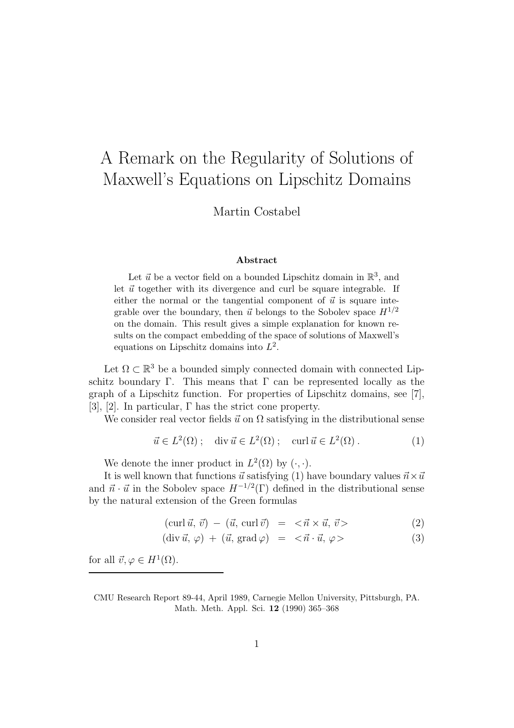## A Remark on the Regularity of Solutions of Maxwell's Equations on Lipschitz Domains

Martin Costabel

## Abstract

Let  $\vec{u}$  be a vector field on a bounded Lipschitz domain in  $\mathbb{R}^3$ , and let  $\vec{u}$  together with its divergence and curl be square integrable. If either the normal or the tangential component of  $\vec{u}$  is square integrable over the boundary, then  $\vec{u}$  belongs to the Sobolev space  $H^{1/2}$ on the domain. This result gives a simple explanation for known results on the compact embedding of the space of solutions of Maxwell's equations on Lipschitz domains into  $L^2$ .

Let  $\Omega \subset \mathbb{R}^3$  be a bounded simply connected domain with connected Lipschitz boundary Γ. This means that  $\Gamma$  can be represented locally as the graph of a Lipschitz function. For properties of Lipschitz domains, see [7], [3], [2]. In particular,  $\Gamma$  has the strict cone property.

We consider real vector fields  $\vec{u}$  on  $\Omega$  satisfying in the distributional sense

$$
\vec{u} \in L^2(\Omega) \; ; \quad \text{div } \vec{u} \in L^2(\Omega) \; ; \quad \text{curl } \vec{u} \in L^2(\Omega) \; . \tag{1}
$$

We denote the inner product in  $L^2(\Omega)$  by  $(\cdot, \cdot)$ .

It is well known that functions  $\vec{u}$  satisfying (1) have boundary values  $\vec{n} \times \vec{u}$ and  $\vec{n} \cdot \vec{u}$  in the Sobolev space  $H^{-1/2}(\Gamma)$  defined in the distributional sense by the natural extension of the Green formulas

$$
(\operatorname{curl} \vec{u}, \vec{v}) - (\vec{u}, \operatorname{curl} \vec{v}) = \langle \vec{n} \times \vec{u}, \vec{v} \rangle \tag{2}
$$

$$
(\text{div }\vec{u}, \varphi) + (\vec{u}, \text{grad }\varphi) = \langle \vec{n} \cdot \vec{u}, \varphi \rangle \tag{3}
$$

for all  $\vec{v}, \varphi \in H^1(\Omega)$ .

CMU Research Report 89-44, April 1989, Carnegie Mellon University, Pittsburgh, PA. Math. Meth. Appl. Sci. 12 (1990) 365–368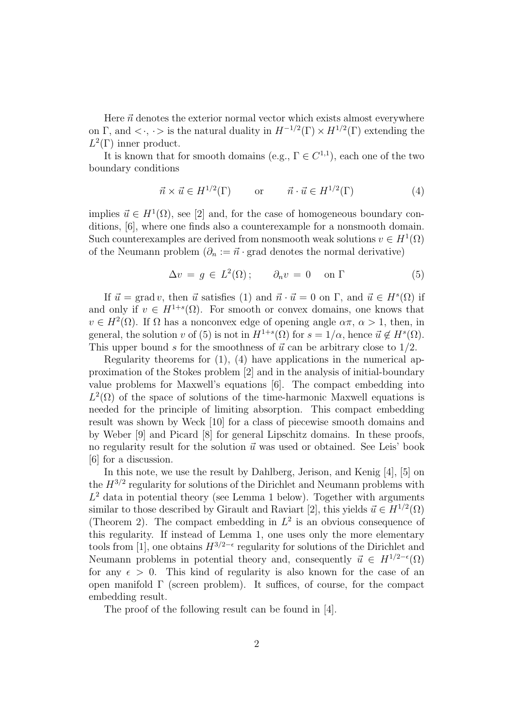Here  $\vec{n}$  denotes the exterior normal vector which exists almost everywhere on  $\Gamma$ , and  $\langle \cdot, \cdot \rangle$  is the natural duality in  $H^{-1/2}(\Gamma) \times H^{1/2}(\Gamma)$  extending the  $L^2(\Gamma)$  inner product.

It is known that for smooth domains (e.g.,  $\Gamma \in C^{1,1}$ ), each one of the two boundary conditions

$$
\vec{n} \times \vec{u} \in H^{1/2}(\Gamma) \qquad \text{or} \qquad \vec{n} \cdot \vec{u} \in H^{1/2}(\Gamma) \tag{4}
$$

implies  $\vec{u} \in H^1(\Omega)$ , see [2] and, for the case of homogeneous boundary conditions, [6], where one finds also a counterexample for a nonsmooth domain. Such counterexamples are derived from nonsmooth weak solutions  $v \in H^1(\Omega)$ of the Neumann problem  $(\partial_n := \vec{n} \cdot \text{grad}$  denotes the normal derivative)

$$
\Delta v = g \in L^2(\Omega); \qquad \partial_n v = 0 \quad \text{on } \Gamma \tag{5}
$$

If  $\vec{u} = \text{grad } v$ , then  $\vec{u}$  satisfies (1) and  $\vec{n} \cdot \vec{u} = 0$  on  $\Gamma$ , and  $\vec{u} \in H^s(\Omega)$  if and only if  $v \in H^{1+s}(\Omega)$ . For smooth or convex domains, one knows that  $v \in H^2(\Omega)$ . If  $\Omega$  has a nonconvex edge of opening angle  $\alpha \pi$ ,  $\alpha > 1$ , then, in general, the solution v of (5) is not in  $H^{1+s}(\Omega)$  for  $s = 1/\alpha$ , hence  $\vec{u} \notin H^s(\Omega)$ . This upper bound s for the smoothness of  $\vec{u}$  can be arbitrary close to 1/2.

Regularity theorems for  $(1)$ ,  $(4)$  have applications in the numerical approximation of the Stokes problem [2] and in the analysis of initial-boundary value problems for Maxwell's equations [6]. The compact embedding into  $L^2(\Omega)$  of the space of solutions of the time-harmonic Maxwell equations is needed for the principle of limiting absorption. This compact embedding result was shown by Weck [10] for a class of piecewise smooth domains and by Weber [9] and Picard [8] for general Lipschitz domains. In these proofs, no regularity result for the solution  $\vec{u}$  was used or obtained. See Leis' book [6] for a discussion.

In this note, we use the result by Dahlberg, Jerison, and Kenig [4], [5] on the  $H^{3/2}$  regularity for solutions of the Dirichlet and Neumann problems with  $L^2$  data in potential theory (see Lemma 1 below). Together with arguments similar to those described by Girault and Raviart [2], this yields  $\vec{u} \in H^{1/2}(\Omega)$ (Theorem 2). The compact embedding in  $L^2$  is an obvious consequence of this regularity. If instead of Lemma 1, one uses only the more elementary tools from [1], one obtains  $H^{3/2-\epsilon}$  regularity for solutions of the Dirichlet and Neumann problems in potential theory and, consequently  $\vec{u} \in H^{1/2-\epsilon}(\Omega)$ for any  $\epsilon > 0$ . This kind of regularity is also known for the case of an open manifold  $\Gamma$  (screen problem). It suffices, of course, for the compact embedding result.

The proof of the following result can be found in [4].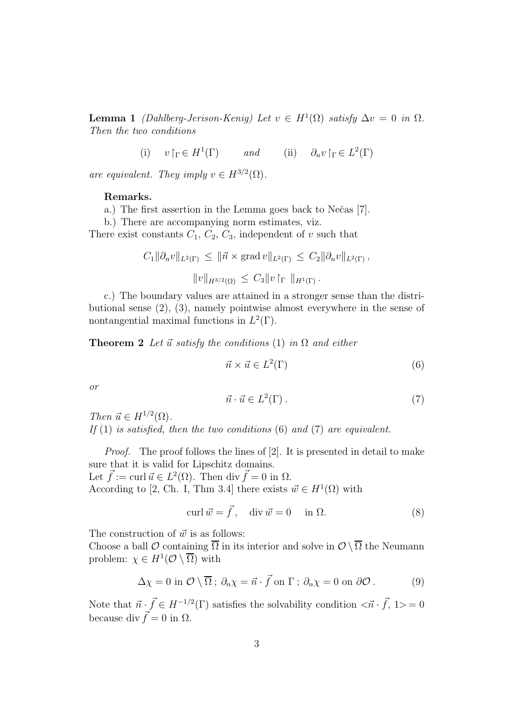**Lemma 1** (Dahlberg-Jerison-Kenig) Let  $v \in H^1(\Omega)$  satisfy  $\Delta v = 0$  in  $\Omega$ . Then the two conditions

(i)  $v \upharpoonright_{\Gamma} \in H^1(\Gamma)$  and (ii)  $\partial_n v \upharpoonright_{\Gamma} \in L^2(\Gamma)$ 

are equivalent. They imply  $v \in H^{3/2}(\Omega)$ .

## Remarks.

a.) The first assertion in the Lemma goes back to Nečas [7].

b.) There are accompanying norm estimates, viz.

There exist constants  $C_1$ ,  $C_2$ ,  $C_3$ , independent of v such that

$$
C_1 \|\partial_n v\|_{L^2(\Gamma)} \le \|\vec{n} \times \text{grad } v\|_{L^2(\Gamma)} \le C_2 \|\partial_n v\|_{L^2(\Gamma)},
$$
  

$$
\|v\|_{H^{3/2}(\Omega)} \le C_3 \|v\|_{\Gamma} \|_{H^1(\Gamma)}.
$$

c.) The boundary values are attained in a stronger sense than the distributional sense (2), (3), namely pointwise almost everywhere in the sense of nontangential maximal functions in  $L^2(\Gamma)$ .

**Theorem 2** Let  $\vec{u}$  satisfy the conditions (1) in  $\Omega$  and either

$$
\vec{n} \times \vec{u} \in L^2(\Gamma) \tag{6}
$$

or

$$
\vec{n} \cdot \vec{u} \in L^2(\Gamma) \,. \tag{7}
$$

Then  $\vec{u} \in H^{1/2}(\Omega)$ . If  $(1)$  is satisfied, then the two conditions  $(6)$  and  $(7)$  are equivalent.

Proof. The proof follows the lines of [2]. It is presented in detail to make sure that it is valid for Lipschitz domains. Let  $\vec{f} := \text{curl } \vec{u} \in L^2(\Omega)$ . Then div  $\vec{f} = 0$  in  $\Omega$ .

According to [2, Ch. I, Thm 3.4] there exists  $\vec{w} \in H^1(\Omega)$  with

$$
\operatorname{curl} \vec{w} = \vec{f}, \quad \operatorname{div} \vec{w} = 0 \quad \text{in } \Omega. \tag{8}
$$

The construction of  $\vec{w}$  is as follows:

Choose a ball  $\mathcal O$  containing  $\overline{\Omega}$  in its interior and solve in  $\mathcal O \setminus \overline{\Omega}$  the Neumann problem:  $\chi \in H^1(\mathcal{O} \setminus \overline{\Omega})$  with

$$
\Delta \chi = 0 \text{ in } \mathcal{O} \setminus \overline{\Omega} \, ; \, \partial_n \chi = \vec{n} \cdot \vec{f} \text{ on } \Gamma \, ; \, \partial_n \chi = 0 \text{ on } \partial \mathcal{O} \, . \tag{9}
$$

Note that  $\vec{n} \cdot \vec{f} \in H^{-1/2}(\Gamma)$  satisfies the solvability condition  $\langle \vec{n} \cdot \vec{f}, 1 \rangle = 0$ because div  $\vec{f} = 0$  in  $\Omega$ .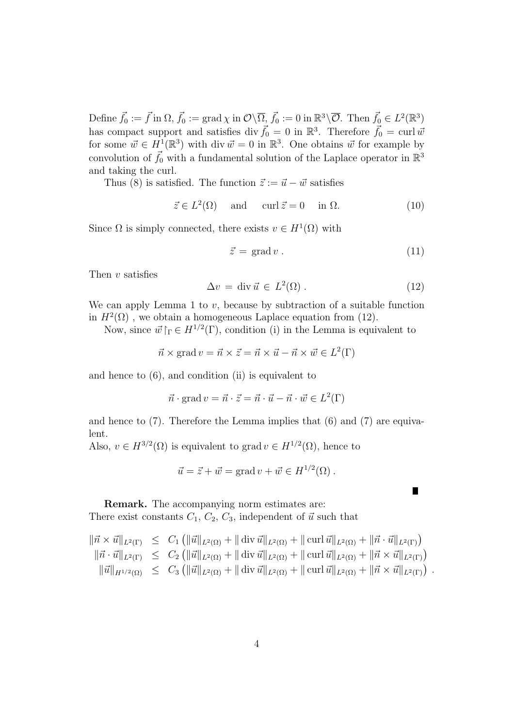Define  $\vec{f}_0 := \vec{f}$  in  $\Omega$ ,  $\vec{f}_0 := \text{grad } \chi$  in  $\mathcal{O} \setminus \overline{\Omega}$ ,  $\vec{f}_0 := 0$  in  $\mathbb{R}^3 \setminus \overline{\mathcal{O}}$ . Then  $\vec{f}_0 \in L^2(\mathbb{R}^3)$ has compact support and satisfies div  $\vec{f}_0 = 0$  in  $\mathbb{R}^3$ . Therefore  $\vec{f}_0 = \text{curl } \vec{w}$ for some  $\vec{w} \in H^1(\mathbb{R}^3)$  with div  $\vec{w} = 0$  in  $\mathbb{R}^3$ . One obtains  $\vec{w}$  for example by convolution of  $\vec{f}_0$  with a fundamental solution of the Laplace operator in  $\mathbb{R}^3$ and taking the curl.

Thus (8) is satisfied. The function  $\vec{z} := \vec{u} - \vec{w}$  satisfies

$$
\vec{z} \in L^2(\Omega) \quad \text{and} \quad \text{curl}\,\vec{z} = 0 \quad \text{in } \Omega. \tag{10}
$$

Since  $\Omega$  is simply connected, there exists  $v \in H^1(\Omega)$  with

$$
\vec{z} = \text{grad } v. \tag{11}
$$

Then  $v$  satisfies

$$
\Delta v = \text{div}\,\vec{u} \in L^2(\Omega) \,. \tag{12}
$$

We can apply Lemma 1 to  $v$ , because by subtraction of a suitable function in  $H^2(\Omega)$ , we obtain a homogeneous Laplace equation from (12).

Now, since  $\vec{w}\,|_{\Gamma} \in H^{1/2}(\Gamma)$ , condition (i) in the Lemma is equivalent to

$$
\vec{n} \times \text{grad } v = \vec{n} \times \vec{z} = \vec{n} \times \vec{u} - \vec{n} \times \vec{w} \in L^2(\Gamma)
$$

and hence to (6), and condition (ii) is equivalent to

$$
\vec{n} \cdot \text{grad } v = \vec{n} \cdot \vec{z} = \vec{n} \cdot \vec{u} - \vec{n} \cdot \vec{w} \in L^2(\Gamma)
$$

and hence to (7). Therefore the Lemma implies that (6) and (7) are equivalent.

Also,  $v \in H^{3/2}(\Omega)$  is equivalent to grad  $v \in H^{1/2}(\Omega)$ , hence to

$$
\vec{u} = \vec{z} + \vec{w} = \text{grad } v + \vec{w} \in H^{1/2}(\Omega) .
$$

Remark. The accompanying norm estimates are: There exist constants  $C_1, C_2, C_3$ , independent of  $\vec{u}$  such that

$$
\begin{array}{rcl}\n\|\vec{n} \times \vec{u}\|_{L^{2}(\Gamma)} \leq C_{1} \left( \|\vec{u}\|_{L^{2}(\Omega)} + \|\vec{u}\|_{L^{2}(\Omega)} + \|\vec{u}\|_{L^{2}(\Omega)} + \|\vec{u}\|_{L^{2}(\Omega)} + \|\vec{n} \cdot \vec{u}\|_{L^{2}(\Gamma)} \right) \\
\|\vec{n} \cdot \vec{u}\|_{L^{2}(\Gamma)} \leq C_{2} \left( \|\vec{u}\|_{L^{2}(\Omega)} + \|\vec{u}\|_{L^{2}(\Omega)} + \|\vec{u}\|_{L^{2}(\Omega)} + \|\vec{n} \times \vec{u}\|_{L^{2}(\Gamma)} \right) \\
\|\vec{u}\|_{H^{1/2}(\Omega)} \leq C_{3} \left( \|\vec{u}\|_{L^{2}(\Omega)} + \|\vec{u}\|_{L^{2}(\Omega)} + \|\vec{u}\|_{L^{2}(\Omega)} + \|\vec{n} \times \vec{u}\|_{L^{2}(\Gamma)} \right)\n\end{array}.
$$